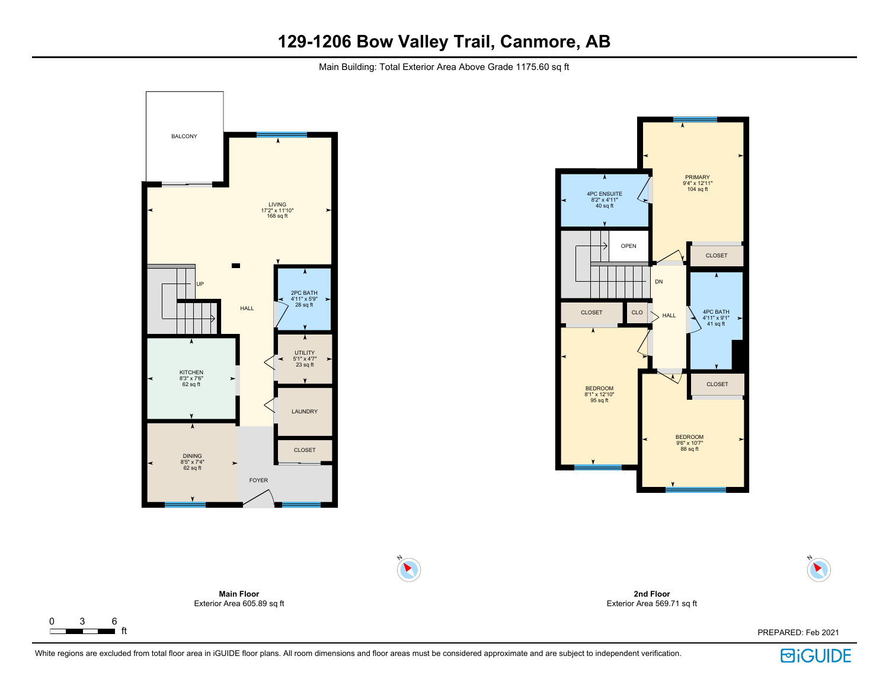Main Building: Total Exterior Area Above Grade 1175.60 sq ft



 $\Gamma$ 

т −



**2nd Floor** Exterior Area 569.71 sq ft

PREPARED: Feb 2021

N

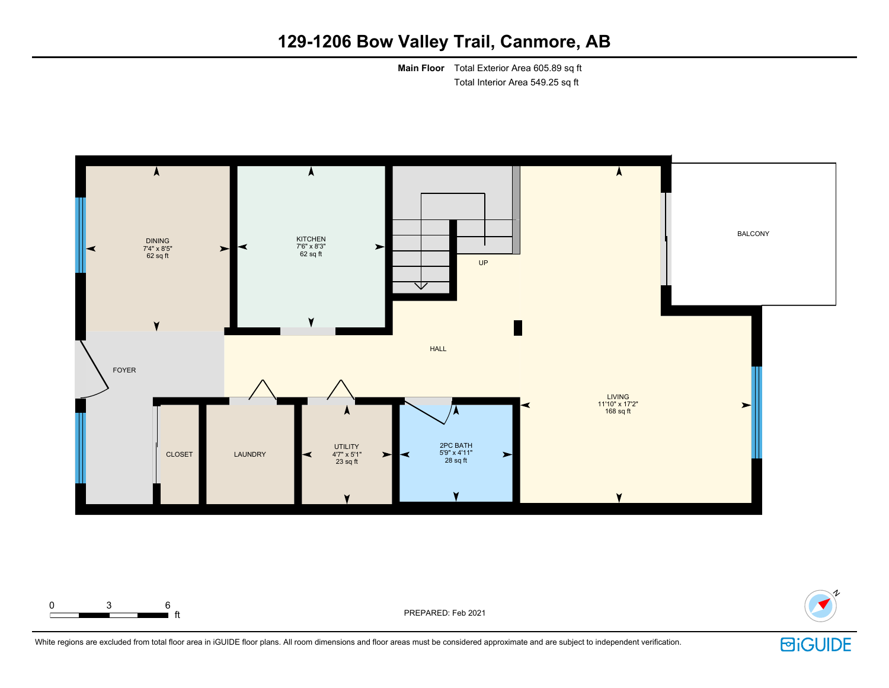**Main Floor** Total Exterior Area 605.89 sq ft Total Interior Area 549.25 sq ft





■ ft PREPARED: Feb 2021



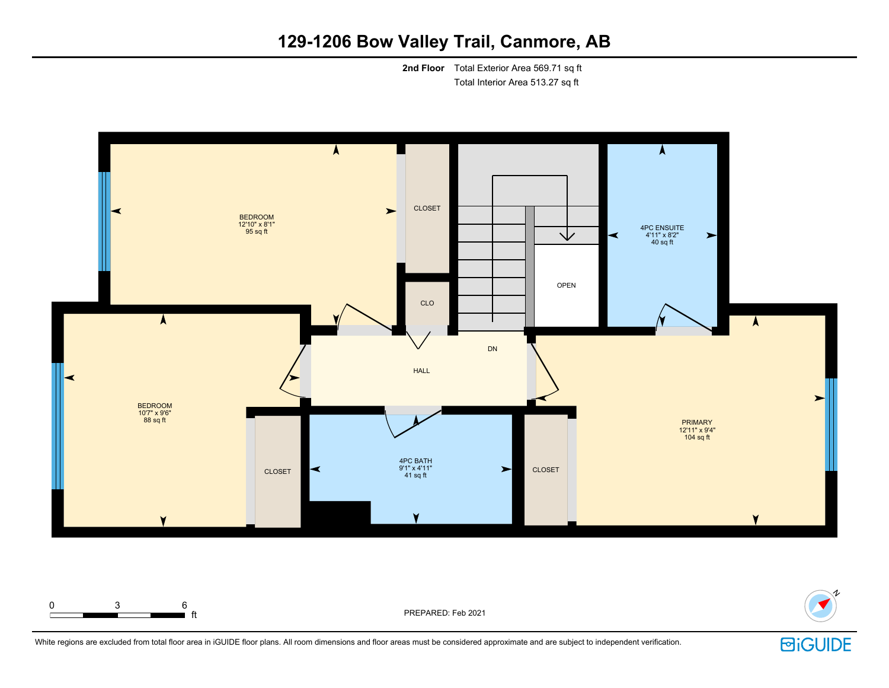**2nd Floor** Total Exterior Area 569.71 sq ft Total Interior Area 513.27 sq ft





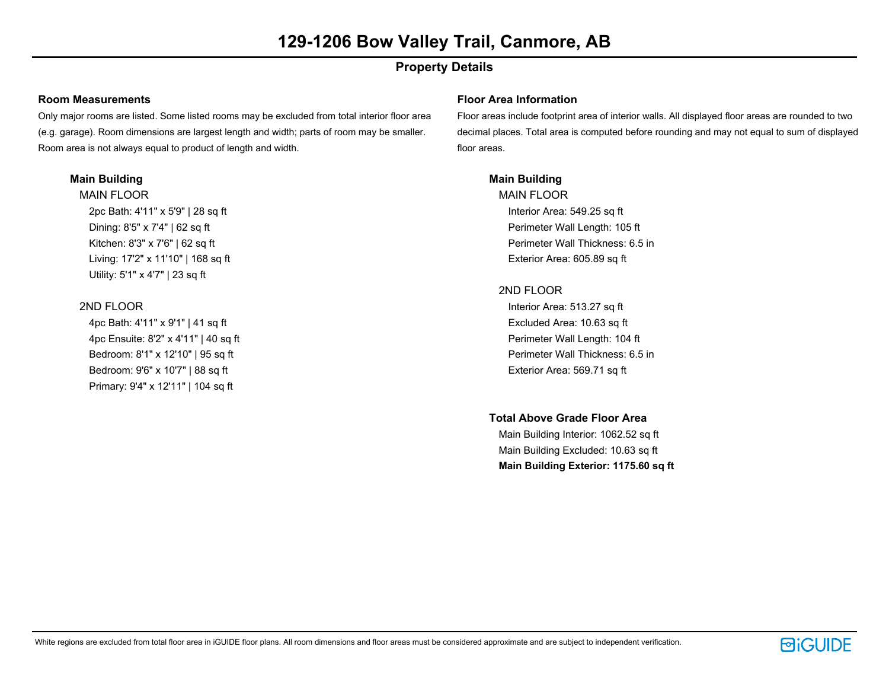### **Property Details**

#### **Room Measurements**

Only major rooms are listed. Some listed rooms may be excluded from total interior floor area (e.g. garage). Room dimensions are largest length and width; parts of room may be smaller. Room area is not always equal to product of length and width.

#### **Main Building**

MAIN FLOOR 2pc Bath: 4'11" x 5'9" | 28 sq ft Dining: 8'5" x 7'4" | 62 sq ft Kitchen: 8'3" x 7'6" | 62 sq ft Living: 17'2" x 11'10" | 168 sq ft Utility: 5'1" x 4'7" | 23 sq ft

#### 2ND FLOOR

4pc Bath: 4'11" x 9'1" | 41 sq ft 4pc Ensuite: 8'2" x 4'11" | 40 sq ft Bedroom: 8'1" x 12'10" | 95 sq ft Bedroom: 9'6" x 10'7" | 88 sq ft Primary: 9'4" x 12'11" | 104 sq ft

#### **Floor Area Information**

Floor areas include footprint area of interior walls. All displayed floor areas are rounded to two decimal places. Total area is computed before rounding and may not equal to sum of displayed floor areas.

#### **Main Building**

MAIN FLOOR Interior Area: 549.25 sq ft Perimeter Wall Length: 105 ft Perimeter Wall Thickness: 6.5 in Exterior Area: 605.89 sq ft

#### 2ND FLOOR

Interior Area: 513.27 sq ft Excluded Area: 10.63 sq ft Perimeter Wall Length: 104 ft Perimeter Wall Thickness: 6.5 in Exterior Area: 569.71 sq ft

#### **Total Above Grade Floor Area**

Main Building Interior: 1062.52 sq ft Main Building Excluded: 10.63 sq ft **Main Building Exterior: 1175.60 sq ft**

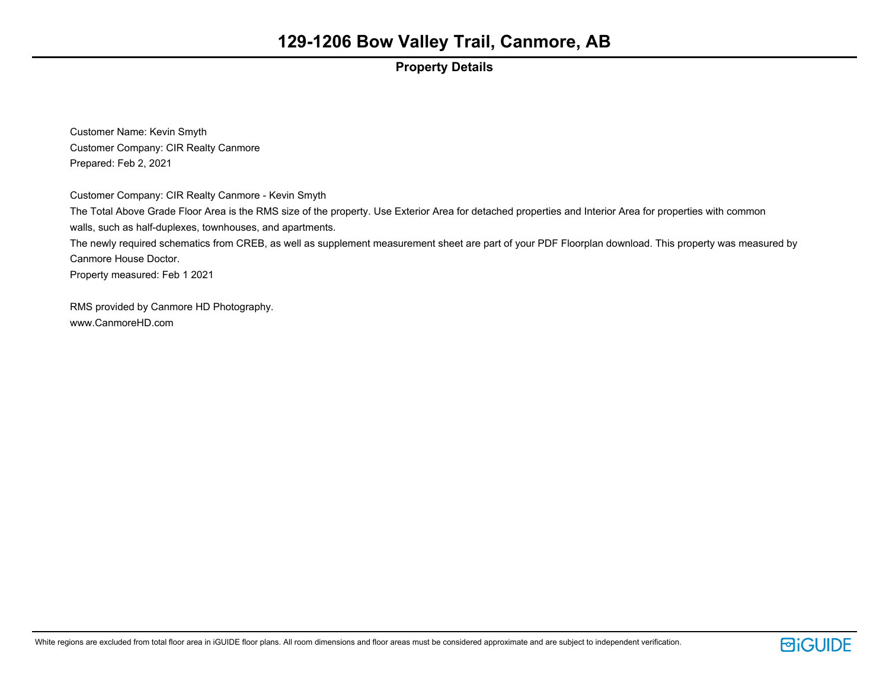### **Property Details**

Customer Name: Kevin Smyth Customer Company: CIR Realty Canmore Prepared: Feb 2, 2021

Customer Company: CIR Realty Canmore - Kevin Smyth The Total Above Grade Floor Area is the RMS size of the property. Use Exterior Area for detached properties and Interior Area for properties with common walls, such as half-duplexes, townhouses, and apartments. The newly required schematics from CREB, as well as supplement measurement sheet are part of your PDF Floorplan download. This property was measured by Canmore House Doctor. Property measured: Feb 1 2021

RMS provided by Canmore HD Photography. www.CanmoreHD.com

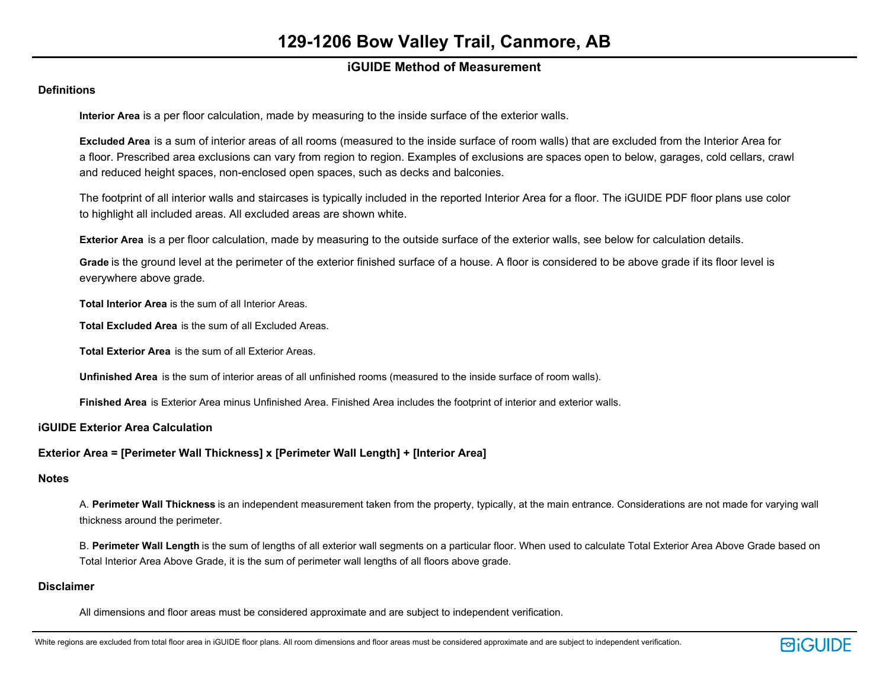### **iGUIDE Method of Measurement**

#### **Definitions**

**Interior Area** is a per floor calculation, made by measuring to the inside surface of the exterior walls.

**Excluded Area** is a sum of interior areas of all rooms (measured to the inside surface of room walls) that are excluded from the Interior Area for a floor. Prescribed area exclusions can vary from region to region. Examples of exclusions are spaces open to below, garages, cold cellars, crawl and reduced height spaces, non-enclosed open spaces, such as decks and balconies.

The footprint of all interior walls and staircases is typically included in the reported Interior Area for a floor. The iGUIDE PDF floor plans use color to highlight all included areas. All excluded areas are shown white.

**Exterior Area** is a per floor calculation, made by measuring to the outside surface of the exterior walls, see below for calculation details.

**Grade** is the ground level at the perimeter of the exterior finished surface of a house. A floor is considered to be above grade if its floor level is everywhere above grade.

**Total Interior Area** is the sum of all Interior Areas.

**Total Excluded Area** is the sum of all Excluded Areas.

**Total Exterior Area** is the sum of all Exterior Areas.

**Unfinished Area** is the sum of interior areas of all unfinished rooms (measured to the inside surface of room walls).

**Finished Area** is Exterior Area minus Unfinished Area. Finished Area includes the footprint of interior and exterior walls.

**iGUIDE Exterior Area Calculation**

#### **Exterior Area = [Perimeter Wall Thickness] x [Perimeter Wall Length] + [Interior Area]**

#### **Notes**

A. **Perimeter Wall Thickness** is an independent measurement taken from the property, typically, at the main entrance. Considerations are not made for varying wall thickness around the perimeter.

B. **Perimeter Wall Length** is the sum of lengths of all exterior wall segments on a particular floor. When used to calculate Total Exterior Area Above Grade based on Total Interior Area Above Grade, it is the sum of perimeter wall lengths of all floors above grade.

#### **Disclaimer**

All dimensions and floor areas must be considered approximate and are subject to independent verification.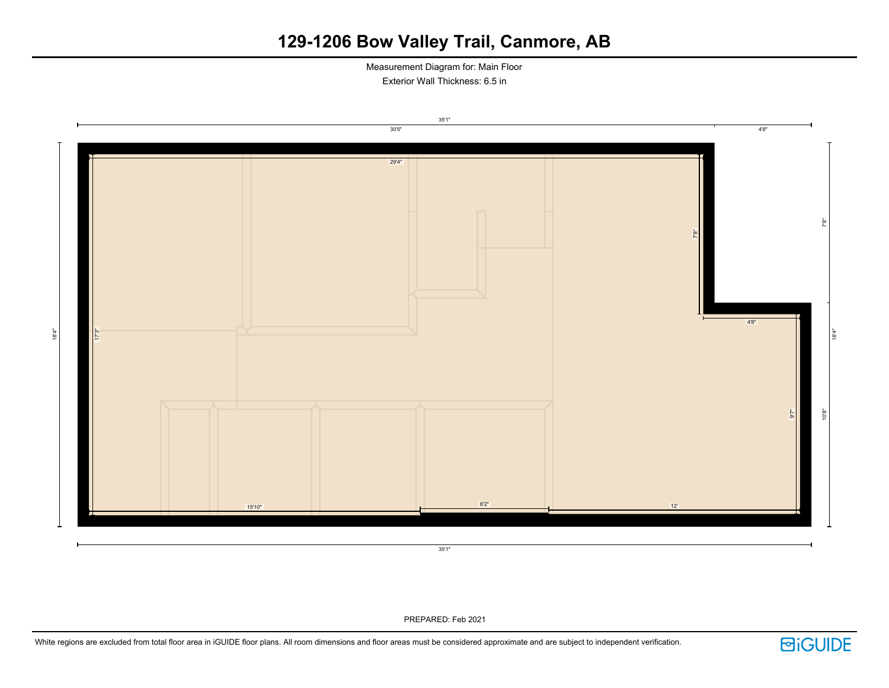Measurement Diagram for: Main Floor Exterior Wall Thickness: 6.5 in



35'1"

PREPARED: Feb 2021

18'4"